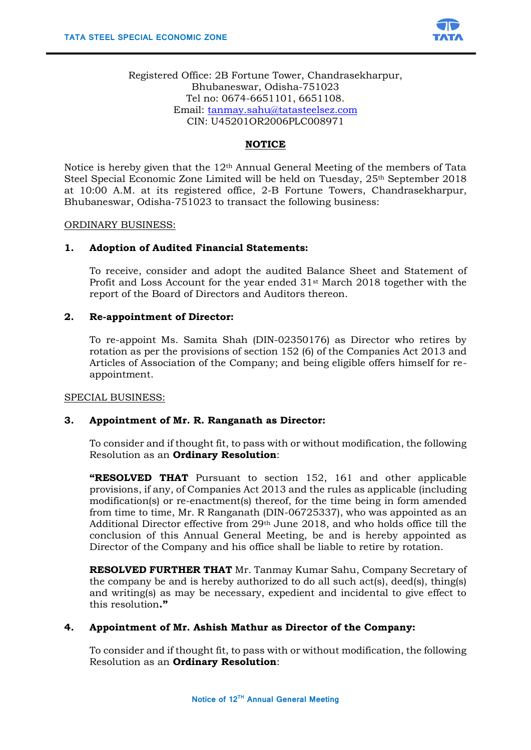

Registered Office: 2B Fortune Tower, Chandrasekharpur, Bhubaneswar, Odisha-751023 Tel no: 0674-6651101, 6651108. Email: [tanmay.sahu@tatasteelsez.com](mailto:tanmay.sahu@tatasteelsez.com) CIN: U45201OR2006PLC008971

# **NOTICE**

Notice is hereby given that the 12th Annual General Meeting of the members of Tata Steel Special Economic Zone Limited will be held on Tuesday, 25<sup>th</sup> September 2018 at 10:00 A.M. at its registered office, 2-B Fortune Towers, Chandrasekharpur, Bhubaneswar, Odisha-751023 to transact the following business:

### ORDINARY BUSINESS:

### **1. Adoption of Audited Financial Statements:**

To receive, consider and adopt the audited Balance Sheet and Statement of Profit and Loss Account for the year ended  $31<sup>st</sup>$  March 2018 together with the report of the Board of Directors and Auditors thereon.

### **2. Re-appointment of Director:**

To re-appoint Ms. Samita Shah (DIN-02350176) as Director who retires by rotation as per the provisions of section 152 (6) of the Companies Act 2013 and Articles of Association of the Company; and being eligible offers himself for reappointment.

SPECIAL BUSINESS:

### **3. Appointment of Mr. R. Ranganath as Director:**

To consider and if thought fit, to pass with or without modification, the following Resolution as an **Ordinary Resolution**:

**"RESOLVED THAT** Pursuant to section 152, 161 and other applicable provisions, if any, of Companies Act 2013 and the rules as applicable (including modification(s) or re-enactment(s) thereof, for the time being in form amended from time to time, Mr. R Ranganath (DIN-06725337), who was appointed as an Additional Director effective from 29th June 2018, and who holds office till the conclusion of this Annual General Meeting, be and is hereby appointed as Director of the Company and his office shall be liable to retire by rotation.

**RESOLVED FURTHER THAT** Mr. Tanmay Kumar Sahu, Company Secretary of the company be and is hereby authorized to do all such act(s), deed(s), thing(s) and writing(s) as may be necessary, expedient and incidental to give effect to this resolution**."**

## **4. Appointment of Mr. Ashish Mathur as Director of the Company:**

To consider and if thought fit, to pass with or without modification, the following Resolution as an **Ordinary Resolution**: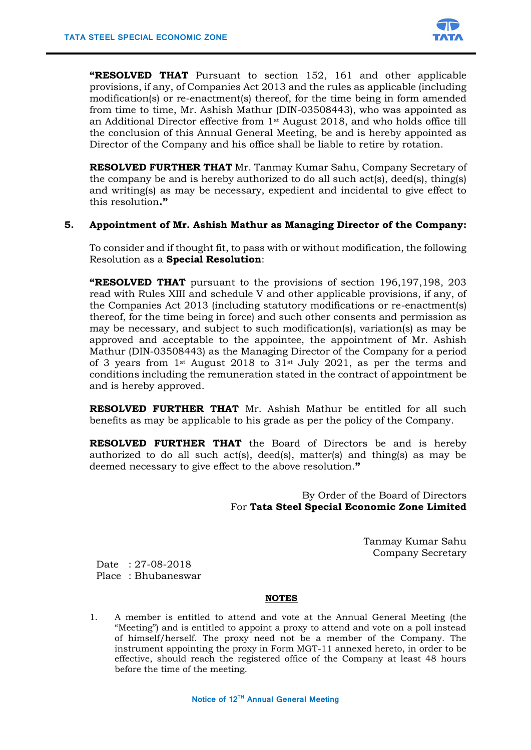

**"RESOLVED THAT** Pursuant to section 152, 161 and other applicable provisions, if any, of Companies Act 2013 and the rules as applicable (including modification(s) or re-enactment(s) thereof, for the time being in form amended from time to time, Mr. Ashish Mathur (DIN-03508443), who was appointed as an Additional Director effective from 1st August 2018, and who holds office till the conclusion of this Annual General Meeting, be and is hereby appointed as Director of the Company and his office shall be liable to retire by rotation.

**RESOLVED FURTHER THAT** Mr. Tanmay Kumar Sahu, Company Secretary of the company be and is hereby authorized to do all such act(s), deed(s), thing(s) and writing(s) as may be necessary, expedient and incidental to give effect to this resolution**."**

### **5. Appointment of Mr. Ashish Mathur as Managing Director of the Company:**

To consider and if thought fit, to pass with or without modification, the following Resolution as a **Special Resolution**:

**"RESOLVED THAT** pursuant to the provisions of section 196,197,198, 203 read with Rules XIII and schedule V and other applicable provisions, if any, of the Companies Act 2013 (including statutory modifications or re-enactment(s) thereof, for the time being in force) and such other consents and permission as may be necessary, and subject to such modification(s), variation(s) as may be approved and acceptable to the appointee, the appointment of Mr. Ashish Mathur (DIN-03508443) as the Managing Director of the Company for a period of 3 years from 1st August 2018 to  $31$ st July 2021, as per the terms and conditions including the remuneration stated in the contract of appointment be and is hereby approved.

**RESOLVED FURTHER THAT** Mr. Ashish Mathur be entitled for all such benefits as may be applicable to his grade as per the policy of the Company.

**RESOLVED FURTHER THAT** the Board of Directors be and is hereby authorized to do all such act(s), deed(s), matter(s) and thing(s) as may be deemed necessary to give effect to the above resolution.**"**

> By Order of the Board of Directors For **Tata Steel Special Economic Zone Limited**

> > Tanmay Kumar Sahu Company Secretary

Date : 27-08-2018 Place : Bhubaneswar

### **NOTES**

1. A member is entitled to attend and vote at the Annual General Meeting (the "Meeting") and is entitled to appoint a proxy to attend and vote on a poll instead of himself/herself. The proxy need not be a member of the Company. The instrument appointing the proxy in Form MGT-11 annexed hereto, in order to be effective, should reach the registered office of the Company at least 48 hours before the time of the meeting.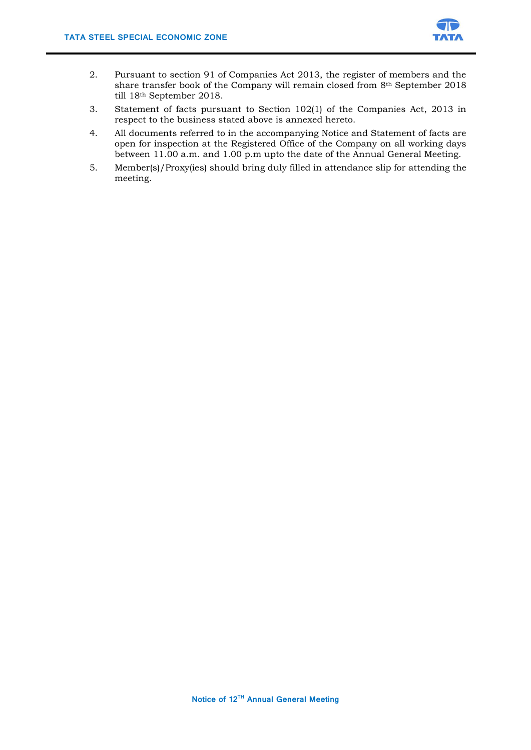

- 2. Pursuant to section 91 of Companies Act 2013, the register of members and the share transfer book of the Company will remain closed from 8th September 2018 till 18th September 2018.
- 3. Statement of facts pursuant to Section 102(1) of the Companies Act, 2013 in respect to the business stated above is annexed hereto.
- 4. All documents referred to in the accompanying Notice and Statement of facts are open for inspection at the Registered Office of the Company on all working days between 11.00 a.m. and 1.00 p.m upto the date of the Annual General Meeting.
- 5. Member(s)/Proxy(ies) should bring duly filled in attendance slip for attending the meeting.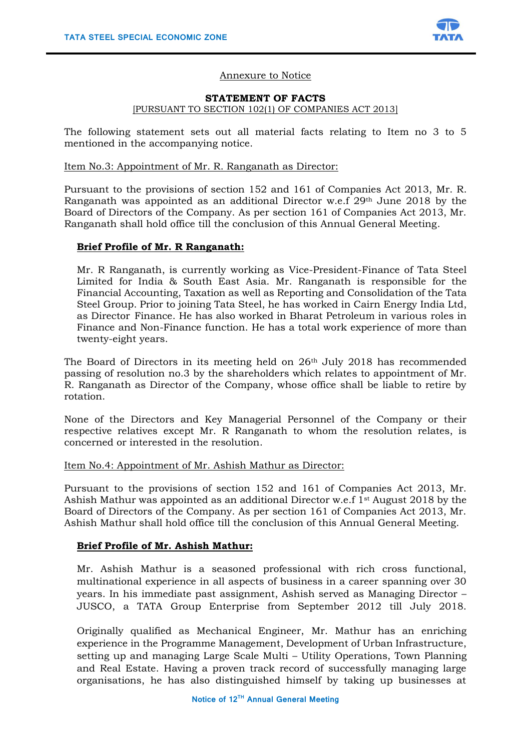

## Annexure to Notice

#### **STATEMENT OF FACTS**

### [PURSUANT TO SECTION 102(1) OF COMPANIES ACT 2013]

The following statement sets out all material facts relating to Item no 3 to 5 mentioned in the accompanying notice.

### Item No.3: Appointment of Mr. R. Ranganath as Director:

Pursuant to the provisions of section 152 and 161 of Companies Act 2013, Mr. R. Ranganath was appointed as an additional Director w.e.f 29th June 2018 by the Board of Directors of the Company. As per section 161 of Companies Act 2013, Mr. Ranganath shall hold office till the conclusion of this Annual General Meeting.

### **Brief Profile of Mr. R Ranganath:**

Mr. R Ranganath, is currently working as Vice-President-Finance of Tata Steel Limited for India & South East Asia. Mr. Ranganath is responsible for the Financial Accounting, Taxation as well as Reporting and Consolidation of the Tata Steel Group. Prior to joining Tata Steel, he has worked in Cairn Energy India Ltd, as Director Finance. He has also worked in Bharat Petroleum in various roles in Finance and Non-Finance function. He has a total work experience of more than twenty-eight years.

The Board of Directors in its meeting held on 26<sup>th</sup> July 2018 has recommended passing of resolution no.3 by the shareholders which relates to appointment of Mr. R. Ranganath as Director of the Company, whose office shall be liable to retire by rotation.

None of the Directors and Key Managerial Personnel of the Company or their respective relatives except Mr. R Ranganath to whom the resolution relates, is concerned or interested in the resolution.

#### Item No.4: Appointment of Mr. Ashish Mathur as Director:

Pursuant to the provisions of section 152 and 161 of Companies Act 2013, Mr. Ashish Mathur was appointed as an additional Director w.e.f 1st August 2018 by the Board of Directors of the Company. As per section 161 of Companies Act 2013, Mr. Ashish Mathur shall hold office till the conclusion of this Annual General Meeting.

### **Brief Profile of Mr. Ashish Mathur:**

Mr. Ashish Mathur is a seasoned professional with rich cross functional, multinational experience in all aspects of business in a career spanning over 30 years. In his immediate past assignment, Ashish served as Managing Director – JUSCO, a TATA Group Enterprise from September 2012 till July 2018.

Originally qualified as Mechanical Engineer, Mr. Mathur has an enriching experience in the Programme Management, Development of Urban Infrastructure, setting up and managing Large Scale Multi – Utility Operations, Town Planning and Real Estate. Having a proven track record of successfully managing large organisations, he has also distinguished himself by taking up businesses at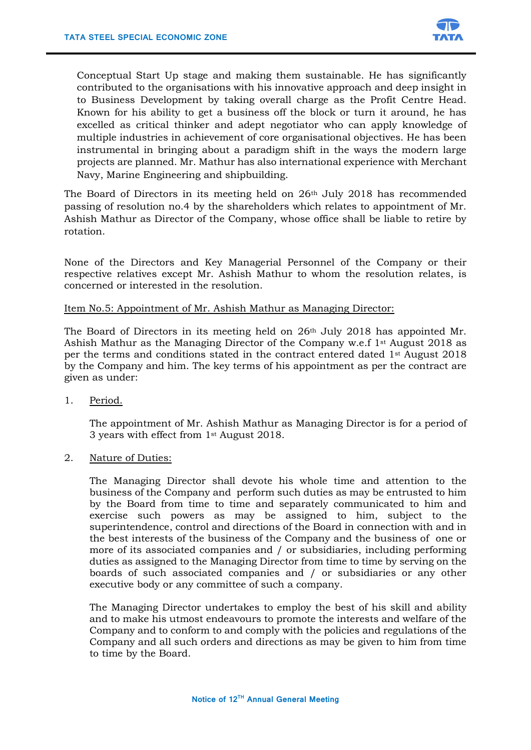

Conceptual Start Up stage and making them sustainable. He has significantly contributed to the organisations with his innovative approach and deep insight in to Business Development by taking overall charge as the Profit Centre Head. Known for his ability to get a business off the block or turn it around, he has excelled as critical thinker and adept negotiator who can apply knowledge of multiple industries in achievement of core organisational objectives. He has been instrumental in bringing about a paradigm shift in the ways the modern large projects are planned. Mr. Mathur has also international experience with Merchant Navy, Marine Engineering and shipbuilding.

The Board of Directors in its meeting held on 26th July 2018 has recommended passing of resolution no.4 by the shareholders which relates to appointment of Mr. Ashish Mathur as Director of the Company, whose office shall be liable to retire by rotation.

None of the Directors and Key Managerial Personnel of the Company or their respective relatives except Mr. Ashish Mathur to whom the resolution relates, is concerned or interested in the resolution.

## Item No.5: Appointment of Mr. Ashish Mathur as Managing Director:

The Board of Directors in its meeting held on  $26<sup>th</sup>$  July 2018 has appointed Mr. Ashish Mathur as the Managing Director of the Company w.e.f 1st August 2018 as per the terms and conditions stated in the contract entered dated 1st August 2018 by the Company and him. The key terms of his appointment as per the contract are given as under:

1. Period.

The appointment of Mr. Ashish Mathur as Managing Director is for a period of 3 years with effect from 1st August 2018.

2. Nature of Duties:

The Managing Director shall devote his whole time and attention to the business of the Company and perform such duties as may be entrusted to him by the Board from time to time and separately communicated to him and exercise such powers as may be assigned to him, subject to the superintendence, control and directions of the Board in connection with and in the best interests of the business of the Company and the business of one or more of its associated companies and / or subsidiaries, including performing duties as assigned to the Managing Director from time to time by serving on the boards of such associated companies and / or subsidiaries or any other executive body or any committee of such a company.

The Managing Director undertakes to employ the best of his skill and ability and to make his utmost endeavours to promote the interests and welfare of the Company and to conform to and comply with the policies and regulations of the Company and all such orders and directions as may be given to him from time to time by the Board.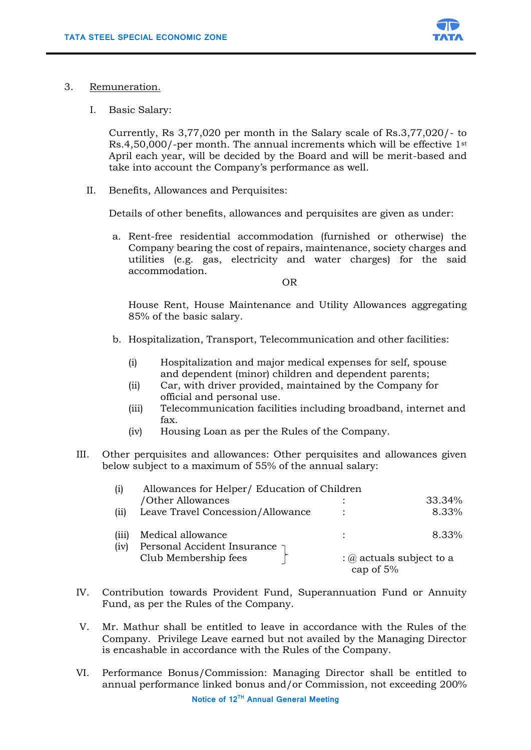

- 3. Remuneration.
	- I. Basic Salary:

Currently, Rs 3,77,020 per month in the Salary scale of Rs.3,77,020/- to Rs.4,50,000/-per month. The annual increments which will be effective 1st April each year, will be decided by the Board and will be merit-based and take into account the Company's performance as well.

II. Benefits, Allowances and Perquisites:

Details of other benefits, allowances and perquisites are given as under:

a. Rent-free residential accommodation (furnished or otherwise) the Company bearing the cost of repairs, maintenance, society charges and utilities (e.g. gas, electricity and water charges) for the said accommodation.

OR

House Rent, House Maintenance and Utility Allowances aggregating 85% of the basic salary.

- b. Hospitalization, Transport, Telecommunication and other facilities:
	- (i) Hospitalization and major medical expenses for self, spouse and dependent (minor) children and dependent parents;
	- (ii) Car, with driver provided, maintained by the Company for official and personal use.
	- (iii) Telecommunication facilities including broadband, internet and fax.
	- (iv) Housing Loan as per the Rules of the Company.
- III. Other perquisites and allowances: Other perquisites and allowances given below subject to a maximum of 55% of the annual salary:

| (i)   | Allowances for Helper/ Education of Children        |                                              |        |
|-------|-----------------------------------------------------|----------------------------------------------|--------|
|       | /Other Allowances                                   |                                              | 33.34% |
| (ii)  | Leave Travel Concession/Allowance                   |                                              | 8.33%  |
| (111) | Medical allowance                                   |                                              | 8.33%  |
| (iv)  | Personal Accident Insurance<br>Club Membership fees | $\Omega$ actuals subject to a<br>cap of $5%$ |        |

- IV. Contribution towards Provident Fund, Superannuation Fund or Annuity Fund, as per the Rules of the Company.
- V. Mr. Mathur shall be entitled to leave in accordance with the Rules of the Company. Privilege Leave earned but not availed by the Managing Director is encashable in accordance with the Rules of the Company.
- VI. Performance Bonus/Commission: Managing Director shall be entitled to annual performance linked bonus and/or Commission, not exceeding 200%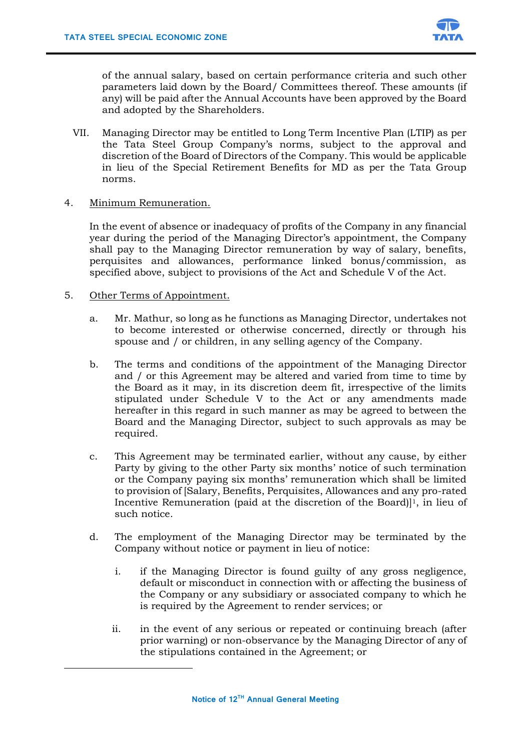

of the annual salary, based on certain performance criteria and such other parameters laid down by the Board/ Committees thereof. These amounts (if any) will be paid after the Annual Accounts have been approved by the Board and adopted by the Shareholders.

- VII. Managing Director may be entitled to Long Term Incentive Plan (LTIP) as per the Tata Steel Group Company's norms, subject to the approval and discretion of the Board of Directors of the Company. This would be applicable in lieu of the Special Retirement Benefits for MD as per the Tata Group norms.
- 4. Minimum Remuneration.

In the event of absence or inadequacy of profits of the Company in any financial year during the period of the Managing Director's appointment, the Company shall pay to the Managing Director remuneration by way of salary, benefits, perquisites and allowances, performance linked bonus/commission, as specified above, subject to provisions of the Act and Schedule V of the Act.

5. Other Terms of Appointment.

**.** 

- a. Mr. Mathur, so long as he functions as Managing Director, undertakes not to become interested or otherwise concerned, directly or through his spouse and / or children, in any selling agency of the Company.
- b. The terms and conditions of the appointment of the Managing Director and / or this Agreement may be altered and varied from time to time by the Board as it may, in its discretion deem fit, irrespective of the limits stipulated under Schedule V to the Act or any amendments made hereafter in this regard in such manner as may be agreed to between the Board and the Managing Director, subject to such approvals as may be required.
- c. This Agreement may be terminated earlier, without any cause, by either Party by giving to the other Party six months' notice of such termination or the Company paying six months' remuneration which shall be limited to provision of [Salary, Benefits, Perquisites, Allowances and any pro-rated Incentive Remuneration (paid at the discretion of the Board)]1, in lieu of such notice.
- d. The employment of the Managing Director may be terminated by the Company without notice or payment in lieu of notice:
	- i. if the Managing Director is found guilty of any gross negligence, default or misconduct in connection with or affecting the business of the Company or any subsidiary or associated company to which he is required by the Agreement to render services; or
	- ii. in the event of any serious or repeated or continuing breach (after prior warning) or non-observance by the Managing Director of any of the stipulations contained in the Agreement; or